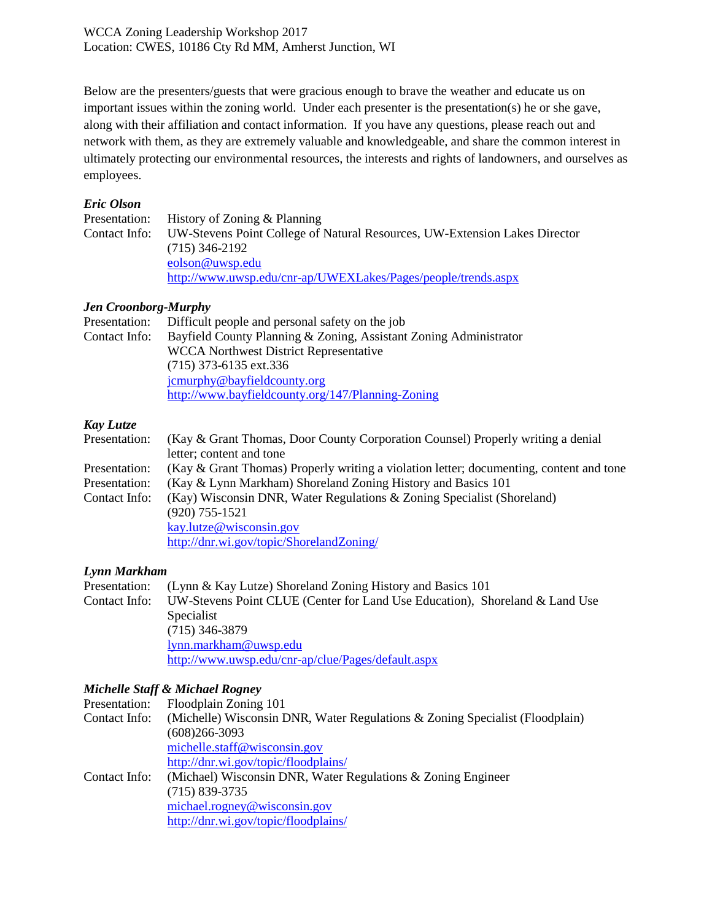Below are the presenters/guests that were gracious enough to brave the weather and educate us on important issues within the zoning world. Under each presenter is the presentation(s) he or she gave, along with their affiliation and contact information. If you have any questions, please reach out and network with them, as they are extremely valuable and knowledgeable, and share the common interest in ultimately protecting our environmental resources, the interests and rights of landowners, and ourselves as employees.

## *Eric Olson*

|  | Presentation: History of Zoning & Planning                                               |
|--|------------------------------------------------------------------------------------------|
|  | Contact Info: UW-Stevens Point College of Natural Resources, UW-Extension Lakes Director |
|  | $(715)$ 346-2192                                                                         |
|  | eolson@uwsp.edu                                                                          |
|  | http://www.uwsp.edu/cnr-ap/UWEXLakes/Pages/people/trends.aspx                            |

## *Jen Croonborg-Murphy*

|               | Presentation: Difficult people and personal safety on the job     |
|---------------|-------------------------------------------------------------------|
| Contact Info: | Bayfield County Planning & Zoning, Assistant Zoning Administrator |
|               | <b>WCCA</b> Northwest District Representative                     |
|               | $(715)$ 373-6135 ext.336                                          |
|               | jcmurphy@bayfieldcounty.org                                       |
|               | http://www.bayfieldcounty.org/147/Planning-Zoning                 |

## *Kay Lutze*

| Presentation: | (Kay & Grant Thomas, Door County Corporation Counsel) Properly writing a denial         |
|---------------|-----------------------------------------------------------------------------------------|
|               | letter; content and tone                                                                |
| Presentation: | (Kay & Grant Thomas) Properly writing a violation letter; documenting, content and tone |
| Presentation: | (Kay & Lynn Markham) Shoreland Zoning History and Basics 101                            |
| Contact Info: | (Kay) Wisconsin DNR, Water Regulations & Zoning Specialist (Shoreland)                  |
|               | $(920)$ 755-1521                                                                        |
|               | kay.lutze@wisconsin.gov                                                                 |
|               | http://dnr.wi.gov/topic/ShorelandZoning/                                                |

## *Lynn Markham*

| Presentation: | (Lynn & Kay Lutze) Shoreland Zoning History and Basics 101                                |
|---------------|-------------------------------------------------------------------------------------------|
|               | Contact Info: UW-Stevens Point CLUE (Center for Land Use Education), Shoreland & Land Use |
|               | Specialist                                                                                |
|               | $(715)$ 346-3879                                                                          |
|               | lynn.markham@uwsp.edu                                                                     |
|               | http://www.uwsp.edu/cnr-ap/clue/Pages/default.aspx                                        |

# *Michelle Staff & Michael Rogney*

| Presentation: | Floodplain Zoning 101                                                        |
|---------------|------------------------------------------------------------------------------|
| Contact Info: | (Michelle) Wisconsin DNR, Water Regulations & Zoning Specialist (Floodplain) |
|               | (608)266-3093                                                                |
|               | michelle.staff@wisconsin.gov                                                 |
|               | http://dnr.wi.gov/topic/floodplains/                                         |
| Contact Info: | (Michael) Wisconsin DNR, Water Regulations & Zoning Engineer                 |
|               | $(715) 839 - 3735$                                                           |
|               | michael.rogney@wisconsin.gov                                                 |
|               | http://dnr.wi.gov/topic/floodplains/                                         |
|               |                                                                              |